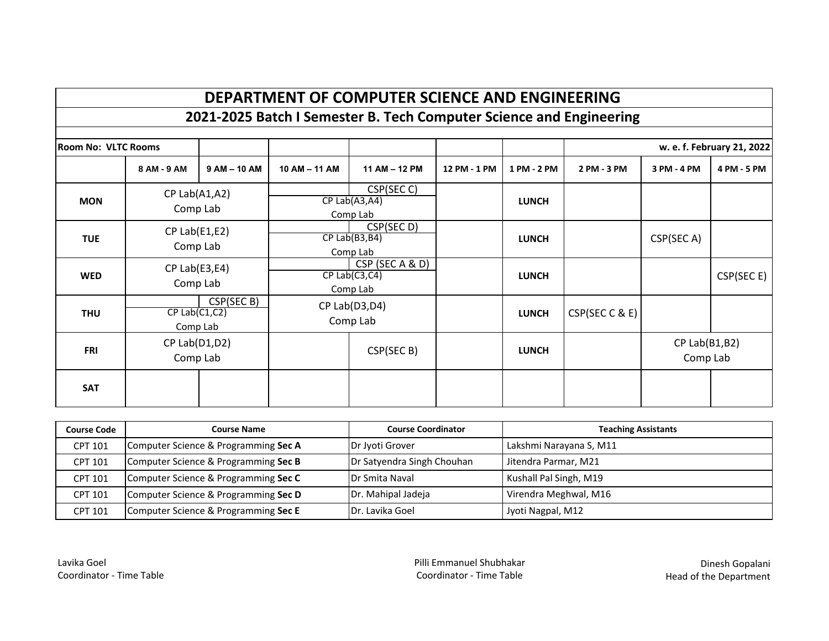# **DEPARTMENT OF COMPUTER SCIENCE AND ENGINEERING**

**2021-2025 Batch I Semester B. Tech Computer Science and Engineering** 

| <b>Room No: VLTC Rooms</b> |                                 |              |               |                                                    |              |              |                |                                | w. e. f. February 21, 2022 |
|----------------------------|---------------------------------|--------------|---------------|----------------------------------------------------|--------------|--------------|----------------|--------------------------------|----------------------------|
|                            | 8 AM - 9 AM                     | $9AM - 10AM$ | 10 AM - 11 AM | 11 AM - 12 PM                                      | 12 PM - 1 PM | 1 PM - 2 PM  | 2 PM - 3 PM    | 3 PM - 4 PM                    | 4 PM - 5 PM                |
| <b>MON</b>                 | $CP$ Lab $(A1, A2)$<br>Comp Lab |              |               | CSP(SEC C)<br>$CP$ Lab $(A3, A4)$<br>Comp Lab      |              | <b>LUNCH</b> |                |                                |                            |
| <b>TUE</b>                 | $CP$ Lab $(E1, E2)$<br>Comp Lab |              |               | CSP(SEC D)<br>$CP$ Lab $(B3,B4)$<br>Comp Lab       |              | <b>LUNCH</b> |                | CSP(SEC A)                     |                            |
| <b>WED</b>                 | $CP$ Lab $(E3, E4)$<br>Comp Lab |              |               | CSP (SEC A & D)<br>$CP$ Lab $(C3, C4)$<br>Comp Lab |              | <b>LUNCH</b> |                |                                | CSP(SEC E)                 |
| <b>THU</b>                 | $CP$ Lab $(C1, C2)$<br>Comp Lab | CSP(SEC B)   |               | CP Lab(D3,D4)<br>Comp Lab                          |              | <b>LUNCH</b> | CSP(SEC C & E) |                                |                            |
| <b>FRI</b>                 | $CP$ Lab $(D1, D2)$<br>Comp Lab |              |               | CSP(SEC B)                                         |              | <b>LUNCH</b> |                | $CP$ Lab $(B1,B2)$<br>Comp Lab |                            |
| <b>SAT</b>                 |                                 |              |               |                                                    |              |              |                |                                |                            |

| <b>Course Code</b> | <b>Course Name</b>                   | <b>Course Coordinator</b>  | <b>Teaching Assistants</b> |
|--------------------|--------------------------------------|----------------------------|----------------------------|
| <b>CPT 101</b>     | Computer Science & Programming Sec A | Dr Jyoti Grover            | Lakshmi Narayana S, M11    |
| <b>CPT 101</b>     | Computer Science & Programming Sec B | Dr Satyendra Singh Chouhan | Jitendra Parmar, M21       |
| <b>CPT 101</b>     | Computer Science & Programming Sec C | <b>Dr Smita Naval</b>      | Kushall Pal Singh, M19     |
| <b>CPT 101</b>     | Computer Science & Programming Sec D | Dr. Mahipal Jadeja         | Virendra Meghwal, M16      |
| <b>CPT 101</b>     | Computer Science & Programming Sec E | Dr. Lavika Goel            | Jyoti Nagpal, M12          |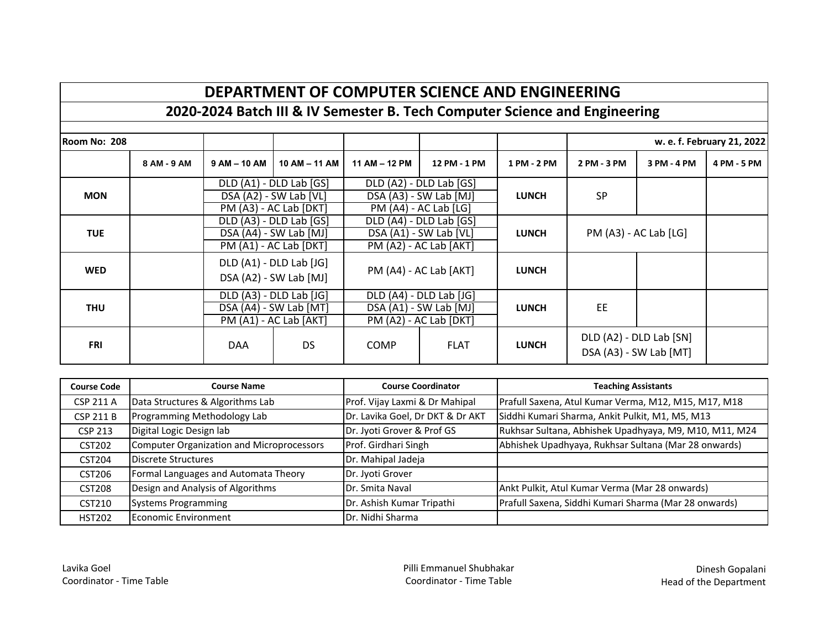## **DEPARTMENT OF COMPUTER SCIENCE AND ENGINEERING**

### **2020-2024 Batch III & IV Semester B. Tech Computer Science and Engineering**

| <b>IRoom No: 208</b> |             |              |                                                                             |               |                                                                              |              |             |                                                   | w. e. f. February 21, 2022 |
|----------------------|-------------|--------------|-----------------------------------------------------------------------------|---------------|------------------------------------------------------------------------------|--------------|-------------|---------------------------------------------------|----------------------------|
|                      | 8 AM - 9 AM | $9AM - 10AM$ | $10$ AM $-$ 11 AM                                                           | 11 AM - 12 PM | 12 PM - 1 PM                                                                 | 1 PM - 2 PM  | 2 PM - 3 PM | 3 PM - 4 PM                                       | 4 PM - 5 PM                |
| <b>MON</b>           |             |              | DLD (A1) - DLD Lab [GS]<br>DSA (A2) - SW Lab [VL]<br>PM (A3) - AC Lab [DKT] |               | DLD (A2) - DLD Lab [GS]<br>DSA (A3) - SW Lab [MJ]<br>$PM (A4) - AC Lab [LG]$ | <b>LUNCH</b> | <b>SP</b>   |                                                   |                            |
| <b>TUE</b>           |             |              | DLD (A3) - DLD Lab [GS]<br>DSA (A4) - SW Lab [MJ]<br>PM (A1) - AC Lab [DKT] |               | DLD (A4) - DLD Lab [GS]<br>DSA (A1) - SW Lab [VL]<br>PM (A2) - AC Lab [AKT]  | <b>LUNCH</b> |             | PM (A3) - AC Lab [LG]                             |                            |
| <b>WED</b>           |             |              | DLD (A1) - DLD Lab [JG]<br>DSA (A2) - SW Lab [MJ]                           |               | PM (A4) - AC Lab [AKT]                                                       | <b>LUNCH</b> |             |                                                   |                            |
| <b>THU</b>           |             |              | DLD (A3) - DLD Lab [JG]<br>DSA (A4) - SW Lab [MT]<br>PM (A1) - AC Lab [AKT] |               | DLD (A4) - DLD Lab [JG]<br>DSA (A1) - SW Lab [MJ]<br>PM (A2) - AC Lab [DKT]  | <b>LUNCH</b> | EE          |                                                   |                            |
| <b>FRI</b>           |             | <b>DAA</b>   | DS                                                                          | <b>COMP</b>   | <b>FLAT</b>                                                                  | <b>LUNCH</b> |             | DLD (A2) - DLD Lab [SN]<br>DSA (A3) - SW Lab [MT] |                            |

| <b>Course Code</b> | <b>Course Name</b>                        | <b>Course Coordinator</b>        | <b>Teaching Assistants</b>                             |  |
|--------------------|-------------------------------------------|----------------------------------|--------------------------------------------------------|--|
| <b>CSP 211 A</b>   | Data Structures & Algorithms Lab          | Prof. Vijay Laxmi & Dr Mahipal   | Prafull Saxena, Atul Kumar Verma, M12, M15, M17, M18   |  |
| <b>CSP 211 B</b>   | Programming Methodology Lab               | Dr. Lavika Goel, Dr DKT & Dr AKT | Siddhi Kumari Sharma, Ankit Pulkit, M1, M5, M13        |  |
| <b>CSP 213</b>     | Digital Logic Design lab                  | Dr. Jyoti Grover & Prof GS       | Rukhsar Sultana, Abhishek Upadhyaya, M9, M10, M11, M24 |  |
| <b>CST202</b>      | Computer Organization and Microprocessors | Prof. Girdhari Singh             | Abhishek Upadhyaya, Rukhsar Sultana (Mar 28 onwards)   |  |
| <b>CST204</b>      | Discrete Structures                       | Dr. Mahipal Jadeja               |                                                        |  |
| CST206             | Formal Languages and Automata Theory      | Dr. Jyoti Grover                 |                                                        |  |
| <b>CST208</b>      | Design and Analysis of Algorithms         | Dr. Smita Naval                  | Ankt Pulkit, Atul Kumar Verma (Mar 28 onwards)         |  |
| CST210             | <b>Systems Programming</b>                | Dr. Ashish Kumar Tripathi        | Prafull Saxena, Siddhi Kumari Sharma (Mar 28 onwards)  |  |
| <b>HST202</b>      | Economic Environment                      | <b>I</b> Dr. Nidhi Sharma        |                                                        |  |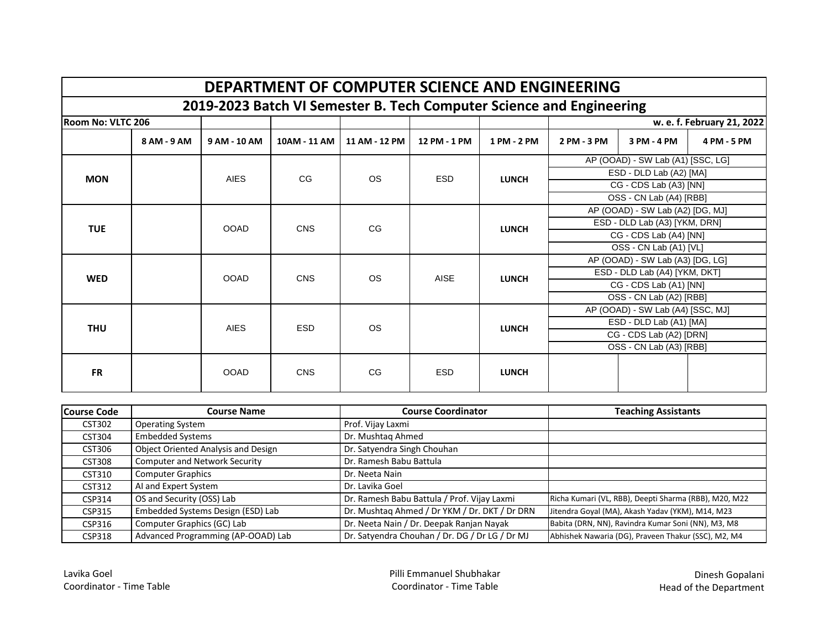|                                                                      | DEPARTMENT OF COMPUTER SCIENCE AND ENGINEERING |              |              |               |              |              |                                  |                                   |             |  |
|----------------------------------------------------------------------|------------------------------------------------|--------------|--------------|---------------|--------------|--------------|----------------------------------|-----------------------------------|-------------|--|
| 2019-2023 Batch VI Semester B. Tech Computer Science and Engineering |                                                |              |              |               |              |              |                                  |                                   |             |  |
| <b>Room No: VLTC 206</b>                                             |                                                |              |              |               |              |              | w. e. f. February 21, 2022       |                                   |             |  |
|                                                                      | 8 AM - 9 AM                                    | 9 AM - 10 AM | 10AM - 11 AM | 11 AM - 12 PM | 12 PM - 1 PM | 1 PM - 2 PM  | 2 PM - 3 PM                      | 3 PM - 4 PM                       | 4 PM - 5 PM |  |
|                                                                      |                                                |              |              |               |              |              |                                  | AP (OOAD) - SW Lab (A1) [SSC, LG] |             |  |
| <b>MON</b>                                                           |                                                | <b>AIES</b>  | CG           | <b>OS</b>     | <b>ESD</b>   | <b>LUNCH</b> |                                  | ESD - DLD Lab (A2) [MA]           |             |  |
|                                                                      |                                                |              |              |               |              |              |                                  | CG - CDS Lab (A3) [NN]            |             |  |
|                                                                      |                                                |              |              |               |              |              |                                  | OSS - CN Lab (A4) [RBB]           |             |  |
|                                                                      |                                                |              |              |               |              |              | AP (OOAD) - SW Lab (A2) [DG, MJ] |                                   |             |  |
| <b>TUE</b>                                                           |                                                | <b>OOAD</b>  | <b>CNS</b>   | CG            | <b>LUNCH</b> |              | ESD - DLD Lab (A3) [YKM, DRN]    |                                   |             |  |
|                                                                      |                                                |              |              |               |              |              |                                  | CG - CDS Lab (A4) [NN]            |             |  |
|                                                                      |                                                |              |              |               |              |              |                                  | OSS - CN Lab (A1) [VL]            |             |  |
|                                                                      |                                                |              |              |               |              |              |                                  | AP (OOAD) - SW Lab (A3) [DG, LG]  |             |  |
| <b>WED</b>                                                           |                                                | <b>OOAD</b>  | <b>CNS</b>   | <b>OS</b>     | <b>AISE</b>  | <b>LUNCH</b> |                                  | ESD - DLD Lab (A4) [YKM, DKT]     |             |  |
|                                                                      |                                                |              |              |               |              |              |                                  | CG - CDS Lab (A1) [NN]            |             |  |
|                                                                      |                                                |              |              |               |              |              |                                  | OSS - CN Lab (A2) [RBB]           |             |  |
|                                                                      |                                                |              |              |               |              |              |                                  | AP (OOAD) - SW Lab (A4) [SSC, MJ] |             |  |
| <b>THU</b>                                                           |                                                | <b>AIES</b>  | <b>ESD</b>   | <b>OS</b>     |              | <b>LUNCH</b> |                                  | ESD - DLD Lab (A1) [MA]           |             |  |
|                                                                      |                                                |              |              |               |              |              |                                  | CG - CDS Lab (A2) [DRN]           |             |  |
|                                                                      |                                                |              |              |               |              |              |                                  | OSS - CN Lab (A3) [RBB]           |             |  |
| <b>FR</b>                                                            |                                                | <b>OOAD</b>  | <b>CNS</b>   | CG            | <b>ESD</b>   | <b>LUNCH</b> |                                  |                                   |             |  |

| <b>Course Code</b> | <b>Course Name</b>                   | <b>Course Coordinator</b>                      | <b>Teaching Assistants</b>                            |
|--------------------|--------------------------------------|------------------------------------------------|-------------------------------------------------------|
| <b>CST302</b>      | <b>Operating System</b>              | Prof. Vijay Laxmi                              |                                                       |
| <b>CST304</b>      | <b>Embedded Systems</b>              | Dr. Mushtag Ahmed                              |                                                       |
| CST306             | Object Oriented Analysis and Design  | Dr. Satyendra Singh Chouhan                    |                                                       |
| <b>CST308</b>      | <b>Computer and Network Security</b> | Dr. Ramesh Babu Battula                        |                                                       |
| CST310             | <b>Computer Graphics</b>             | Dr. Neeta Nain                                 |                                                       |
| CST312             | AI and Expert System                 | Dr. Lavika Goel                                |                                                       |
| CSP314             | OS and Security (OSS) Lab            | Dr. Ramesh Babu Battula / Prof. Vijay Laxmi    | Richa Kumari (VL, RBB), Deepti Sharma (RBB), M20, M22 |
| CSP315             | Embedded Systems Design (ESD) Lab    | Dr. Mushtaq Ahmed / Dr YKM / Dr. DKT / Dr DRN  | Jitendra Goyal (MA), Akash Yadav (YKM), M14, M23      |
| CSP316             | Computer Graphics (GC) Lab           | Dr. Neeta Nain / Dr. Deepak Ranjan Nayak       | Babita (DRN, NN), Ravindra Kumar Soni (NN), M3, M8    |
| <b>CSP318</b>      | Advanced Programming (AP-OOAD) Lab   | Dr. Satyendra Chouhan / Dr. DG / Dr LG / Dr MJ | Abhishek Nawaria (DG), Praveen Thakur (SSC), M2, M4   |

Lavika Goel **Exercise Shubhakar** Pilli Emmanuel Shubhakar **Dinesh Gopalani** Dinesh Gopalani<br>Coordinator - Time Table **Proporting Coordinator - Time Table** Coordinator - Time Table Pead of the Department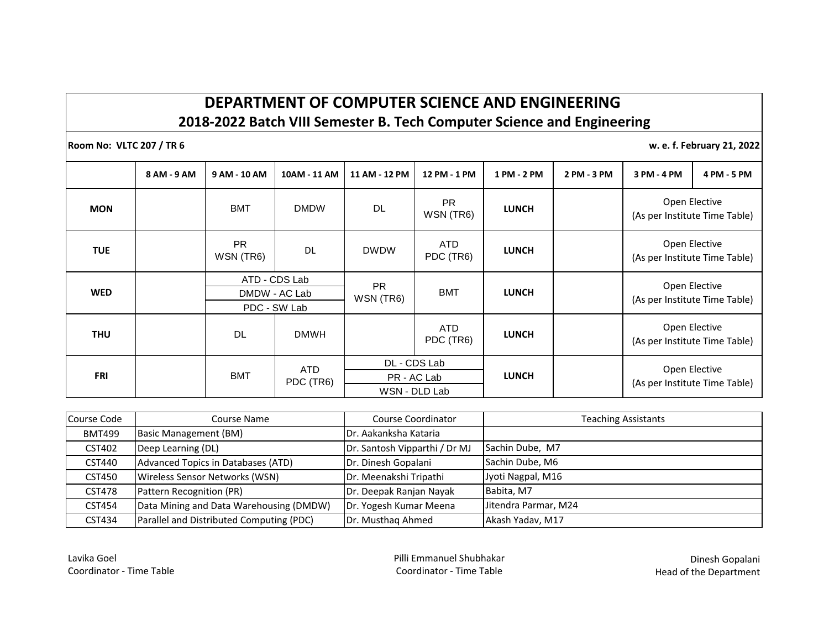#### **DEPARTMENT OF COMPUTER SCIENCE AND ENGINEERING 2018-2022 Batch VIII Semester B. Tech Computer Science and Engineering**

**Room No: VLTC 207 / TR 6 w. e. f. February 21, 2022** 

|            | 8 AM - 9 AM | 9 AM - 10 AM                                   | 10AM - 11 AM            | 11 AM - 12 PM                                | 12 PM - 1 PM            | 1 PM - 2 PM  | 2 PM - 3 PM | 3 PM - 4 PM                                    | 4 PM - 5 PM                                    |  |
|------------|-------------|------------------------------------------------|-------------------------|----------------------------------------------|-------------------------|--------------|-------------|------------------------------------------------|------------------------------------------------|--|
| <b>MON</b> |             | <b>BMT</b>                                     | <b>DMDW</b>             | DL                                           | <b>PR</b><br>WSN (TR6)  | <b>LUNCH</b> |             |                                                | Open Elective<br>(As per Institute Time Table) |  |
| <b>TUE</b> |             | <b>PR</b><br>WSN (TR6)                         | <b>DL</b>               | <b>DWDW</b>                                  | ATD<br>PDC (TR6)        | <b>LUNCH</b> |             | Open Elective<br>(As per Institute Time Table) |                                                |  |
| <b>WED</b> |             | ATD - CDS Lab<br>DMDW - AC Lab<br>PDC - SW Lab |                         | <b>PR</b><br>WSN (TR6)                       | <b>BMT</b>              | <b>LUNCH</b> |             |                                                | Open Elective<br>(As per Institute Time Table) |  |
| <b>THU</b> |             | DL                                             | <b>DMWH</b>             |                                              | <b>ATD</b><br>PDC (TR6) | <b>LUNCH</b> |             |                                                | Open Elective<br>(As per Institute Time Table) |  |
| FRI        |             | <b>BMT</b>                                     | <b>ATD</b><br>PDC (TR6) | DL - CDS Lab<br>PR - AC Lab<br>WSN - DLD Lab |                         | <b>LUNCH</b> |             |                                                | Open Elective<br>(As per Institute Time Table) |  |

| Course Code   | Course Name                              | Course Coordinator            | <b>Teaching Assistants</b> |  |
|---------------|------------------------------------------|-------------------------------|----------------------------|--|
| <b>BMT499</b> | <b>Basic Management (BM)</b>             | <b>IDr. Aakanksha Kataria</b> |                            |  |
| CST402        | Deep Learning (DL)                       | Dr. Santosh Vipparthi / Dr MJ | Sachin Dube, M7            |  |
| CST440        | Advanced Topics in Databases (ATD)       | Dr. Dinesh Gopalani           | Sachin Dube, M6            |  |
| <b>CST450</b> | Wireless Sensor Networks (WSN)           | Dr. Meenakshi Tripathi        | Jyoti Nagpal, M16          |  |
| <b>CST478</b> | Pattern Recognition (PR)                 | Dr. Deepak Ranjan Nayak       | Babita, M7                 |  |
| CST454        | Data Mining and Data Warehousing (DMDW)  | Dr. Yogesh Kumar Meena        | Jitendra Parmar, M24       |  |
| CST434        | Parallel and Distributed Computing (PDC) | Dr. Musthag Ahmed             | Akash Yadav, M17           |  |

Lavika Goel **Exercise Shubhakar** Pilli Emmanuel Shubhakar **Dinesh Gopalani**<br>Coordinator - Time Table **Dinesh Gopalani** Coordinator - Time Table **Coordinator - Time Table** Head of the Department

Head of the Department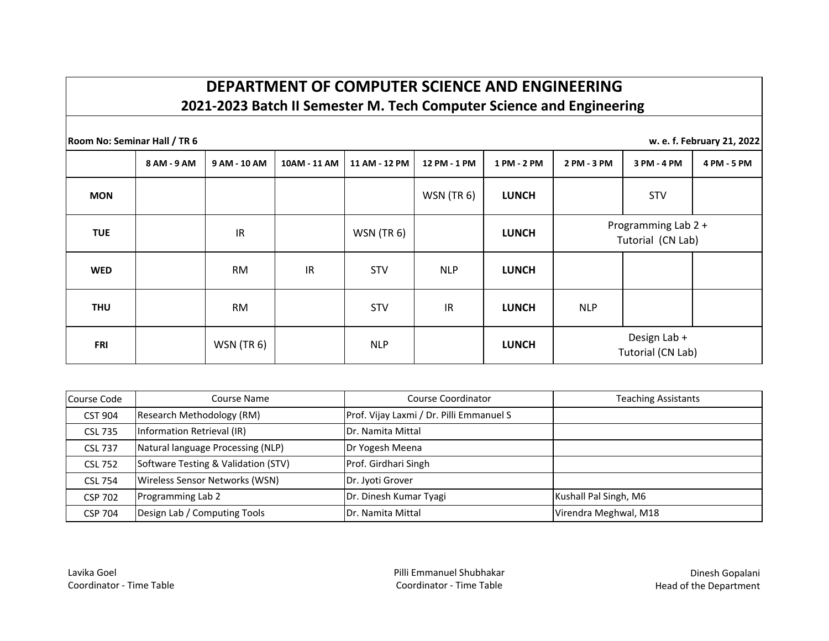## **DEPARTMENT OF COMPUTER SCIENCE AND ENGINEERING 2021-2023 Batch II Semester M. Tech Computer Science and Engineering**

**Room No: Seminar Hall / TR 6 w. e. f. February 21, 2022**

|            | 8 AM - 9 AM | 9 AM - 10 AM | 10AM - 11 AM | 11 AM - 12 PM | 12 PM - 1 PM | 1 PM - 2 PM  | 2 PM - 3 PM                              | 3 PM - 4 PM                       | 4 PM - 5 PM |
|------------|-------------|--------------|--------------|---------------|--------------|--------------|------------------------------------------|-----------------------------------|-------------|
| <b>MON</b> |             |              |              |               | $WSN$ (TR 6) | <b>LUNCH</b> |                                          | <b>STV</b>                        |             |
| <b>TUE</b> |             | IR           |              | $WSN$ (TR 6)  |              | <b>LUNCH</b> | Programming Lab 2 +<br>Tutorial (CN Lab) |                                   |             |
| <b>WED</b> |             | <b>RM</b>    | IR           | <b>STV</b>    | <b>NLP</b>   | <b>LUNCH</b> |                                          |                                   |             |
| <b>THU</b> |             | <b>RM</b>    |              | STV           | IR           | <b>LUNCH</b> | <b>NLP</b>                               |                                   |             |
| <b>FRI</b> |             | $WSN$ (TR 6) |              | <b>NLP</b>    |              | <b>LUNCH</b> |                                          | Design Lab +<br>Tutorial (CN Lab) |             |

| Course Code    | Course Name                         | Course Coordinator                       | <b>Teaching Assistants</b> |
|----------------|-------------------------------------|------------------------------------------|----------------------------|
| <b>CST 904</b> | Research Methodology (RM)           | Prof. Vijay Laxmi / Dr. Pilli Emmanuel S |                            |
| <b>CSL 735</b> | Information Retrieval (IR)          | Dr. Namita Mittal                        |                            |
| <b>CSL 737</b> | Natural language Processing (NLP)   | Dr Yogesh Meena                          |                            |
| <b>CSL 752</b> | Software Testing & Validation (STV) | Prof. Girdhari Singh                     |                            |
| <b>CSL 754</b> | Wireless Sensor Networks (WSN)      | Dr. Jyoti Grover                         |                            |
| <b>CSP 702</b> | Programming Lab 2                   | Dr. Dinesh Kumar Tyagi                   | Kushall Pal Singh, M6      |
| <b>CSP 704</b> | Design Lab / Computing Tools        | <b>IDr. Namita Mittal</b>                | Virendra Meghwal, M18      |